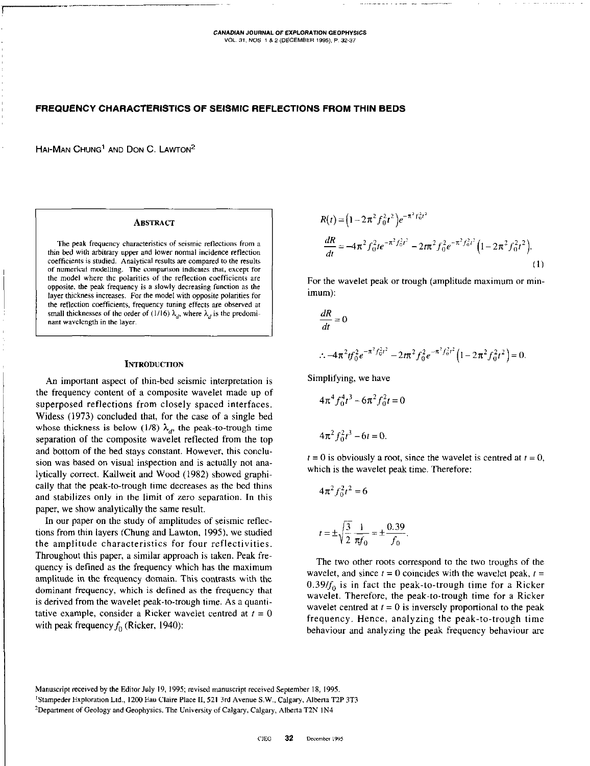# FREQUENCY CHARACTERISTICS OF SEISMIC REFLECTIONS FROM THIN BEDS

HAI-MAN CHUNG<sup>1</sup> AND DON C. LAWTON<sup>2</sup>

### **ABSTRACT**

The peak frequency characteristics of seismic reflections from a thin bed with arbitrary upper and lower normal incidence reflection coefficients is studied. Analytical results are compared to the results Of numerical modelling. The comparison indicates that. except for the model where the polarities of the reflection coefficients are opposite, the peak frequency is a slowly decreasing function as the layer thickness increases. For the model with opposite polarities for the reflection coefficients, frequency tuning effects nre observed at small thicknesses of the order of (1/16)  $\lambda_d$ , where  $\lambda_d$  is the predominant wavelength in the layer.

#### **INTRODUCTION**

An important aspect of thin-bed seismic interpretation is the frequency content of a composite wavelet made up of superposed reflections from closely spaced interfaces. Widess (1973) concluded that, for the case of a single bed whose thickness is below (1/8)  $\lambda_d$ , the peak-to-trough time separation of the composite wavelet reflected from the top and bottom of the bed stays constant. However, this conclusion was based on visual inspection and is actually not analytically correct. Kallweit and Wood (1982) showed graphically that the peak-to-trough time decreases as the bed thins and stabilizes only in the limit of zero separation. In this paper, we show analytically the same result.

In our paper on the study of amplitudes of seismic reflections from thin layers (Chung and Lawton, 1995). we studied the amplitude characteristics for four reflectivities. Throughout this paper, a similar approach is taken. Peak frequency is defined as the frequency which has the maximum amplitude in the frequency domain. This contrasts with the dominant frequency, which is defined as the frequency that is derived from the wavelet peak-to-trough time. As a quantitative example, consider a Ricker wavelet centred at  $t = 0$ with peak frequency  $f_0$  (Ricker, 1940):

$$
R(t) = (1 - 2\pi^2 f_0^2 t^2) e^{-\pi^2 f_0^2 t^2}
$$
  
\n
$$
\frac{dR}{dt} = -4\pi^2 f_0^2 t e^{-\pi^2 f_0^2 t^2} - 2t \pi^2 f_0^2 e^{-\pi^2 f_0^2 t^2} (1 - 2\pi^2 f_0^2 t^2).
$$
\n(1)

For the wavelet peak or trough (amplitude maximum or minimum):

$$
\frac{dR}{dt} = 0
$$
  
 
$$
\therefore -4\pi^2 t f_0^2 e^{-\pi^2 f_0^2 t^2} - 2t\pi^2 f_0^2 e^{-\pi^2 f_0^2 t^2} \left(1 - 2\pi^2 f_0^2 t^2\right) = 0.
$$

Simplifying, we have

$$
4\pi^4 f_0^4 t^3 - 6\pi^2 f_0^2 t = 0
$$
  

$$
4\pi^2 f_0^2 t^3 - 6t = 0.
$$

 $t = 0$  is obviously a root, since the wavelet is centred at  $t = 0$ , which is the wavelet peak time. Therefore:

$$
4\pi^2 f_0^2 t^2 = 6
$$

$$
t = \pm \sqrt{\frac{3}{2}} \frac{1}{\pi f_0} = \pm \frac{0.39}{f_0}.
$$

The two other roots correspond to the two troughs of the wavelet, and since  $t = 0$  coincides with the wavelet peak,  $t =$  $0.39/f<sub>0</sub>$  is in fact the peak-to-trough time for a Ricker wavelet. Therefore, the peak-to-trough time for a Ricker wavelet centred at  $t = 0$  is inversely proportional to the peak frequency. Hence, analyzing the peak-to-trough time behaviour and analyzing the peak frequency behaviour are

Manuscript received by the Editor July 19, 1995; revised manuscript received September 18, 1995. <sup>1</sup>Stampeder Exploration Ltd., 1200 Eau Claire Place II, 521 3rd Avenue S.W., Calgary, Alberta T2P 3T3 <sup>2</sup>Department of Geology and Geophysics, The University of Calgary, Calgary, Alberta T2N 1N4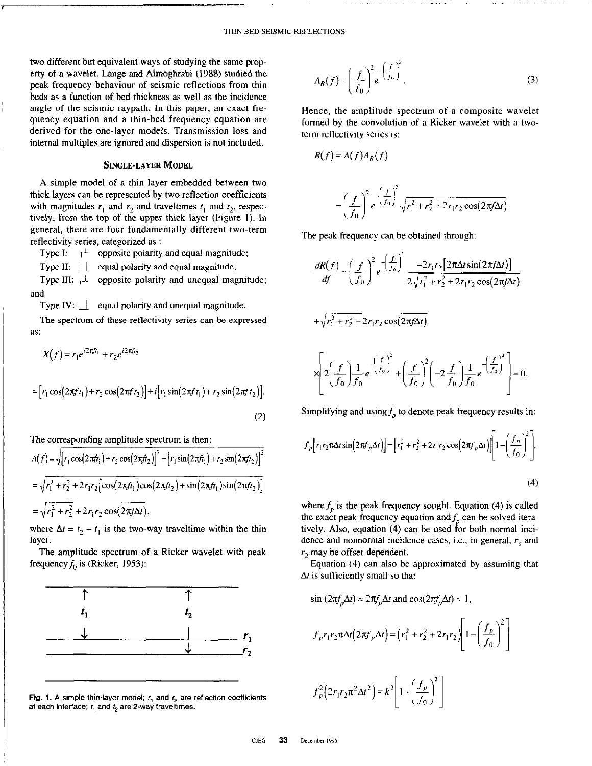\_\_.\_~~~

two different but equivalent ways of studying the same property of a wavelet. Lange and Ahnoghrabi (1988) studied the peak frequency behaviour of seismic reflections from thin beds as a function of bed thickness as well as the incidence angle of the seismic raypath. In this paper, an exact frequency equation and a thin-bed frequency equation are derived for the one-layer models. Transmission loss and internal multiples are ignored and dispersion is not included.

## SINGLE-LAYER MODEL

A simple model of a thin layer embedded between two thick layers can be represented by two reflection coefficients with magnitudes  $r_1$  and  $r_2$  and traveltimes  $t_1$  and  $t_2$ , respectively, from the top of the upper thick layer (Figure 1). In general, there are four fundamentally different two-term reflectivity series, categorized as :

Type I:  $\tau^{\perp}$  opposite polarity and equal magnitude;

Type II:  $\|\cdot\|$  equal polarity and equal magnitude;

Type III:  $\perp$  opposite polarity and unequal magnitude; and

Type IV:  $\Box$  equal polarity and unequal magnitude.

The spectrum of these reflectivity series can be expressed as:

$$
X(f) = r_1 e^{i2\pi f t_1} + r_2 e^{i2\pi f t_2}
$$
  
=  $[r_1 \cos(2\pi f t_1) + r_2 \cos(2\pi f t_2)] + i[r_1 \sin(2\pi f t_1) + r_2 \sin(2\pi f t_2)].$  (2)

The corresponding amplitude spectrum is then:

$$
A(f) = \sqrt{[r_1 \cos(2\pi ft_1) + r_2 \cos(2\pi ft_2)]^2 + [r_1 \sin(2\pi ft_1) + r_2 \sin(2\pi ft_2)]^2}
$$
  
=  $\sqrt{r_1^2 + r_2^2 + 2r_1r_2 [\cos(2\pi ft_1)\cos(2\pi ft_2) + \sin(2\pi ft_1)\sin(2\pi ft_2)]}$   
=  $\sqrt{r_1^2 + r_2^2 + 2r_1r_2 \cos(2\pi f \Delta t)},$ 

where  $\Delta t = t_2 - t_1$  is the two-way traveltime within the thin layer.

The amplitude spectrum of a Ricker wavelet with peak frequency  $f_0$  is (Ricker, 1953):



Fig. 1. A simple thin-layer model;  $r_1$  and  $r_2$  are reflection coefficients at each interface;  $t_1$  and  $t_2$  are 2-way traveltimes.

$$
A_R(f) = \left(\frac{f}{f_0}\right)^2 e^{-\left(\frac{f}{f_0}\right)^2}.
$$
 (3)

Hence, the amplitude spectrum of a composite wavelet formed by the convolution of a Ricker wavelet with a twoterm reflectivity series is:

$$
R(f) = A(f)A_R(f)
$$

$$
= \left(\frac{f}{f_0}\right)^2 e^{-\left(\frac{f}{f_0}\right)^2} \sqrt{r_1^2 + r_2^2 + 2r_1r_2\cos(2\pi f\Delta t)}.
$$

The peak frequency can be obtained through:

$$
\frac{dR(f)}{df} = \left(\frac{f}{f_0}\right)^2 e^{-\left(\frac{f}{f_0}\right)^2} \frac{-2r_1r_2[2\pi\Delta t \sin(2\pi f\Delta t)]}{2\sqrt{r_1^2 + r_2^2 + 2r_1r_2 \cos(2\pi f\Delta t)}}
$$
  
+ $\sqrt{r_1^2 + r_2^2 + 2r_1r_2 \cos(2\pi f\Delta t)}$   

$$
\times \left[2\left(\frac{f}{f_0}\right)\frac{1}{f_0}e^{-\left(\frac{f}{f_0}\right)^2} + \left(\frac{f}{f_0}\right)^2\left(-2\frac{f}{f_0}\right)\frac{1}{f_0}e^{-\left(\frac{f}{f_0}\right)^2}\right] = 0.
$$

Simplifying and using  $f_p$  to denote peak frequency results in:

$$
f_p[r_1r_2\pi\Delta t\sin(2\pi f_p\Delta t)] = [r_1^2 + r_2^2 + 2r_1r_2\cos(2\pi f_p\Delta t)]\left[1 - \left(\frac{f_p}{f_0}\right)^2\right],
$$
\n(4)

where  $f_n$  is the peak frequency sought. Equation (4) is called the exact peak frequency equation and  $f<sub>n</sub>$  can be solved iteratively. Also, equation (4) can be used for both normal incidence and nonnormal incidence cases, i.e., in general,  $r_1$  and  $r<sub>2</sub>$  may be offset-dependent.

Equation (4) can also be approximated by assuming that  $\Delta t$  is sufficiently small so that

$$
\sin (2\pi f_p \Delta t) \approx 2\pi f_p \Delta t \text{ and } \cos(2\pi f_p \Delta t) \approx 1,
$$
  

$$
f_p r_1 r_2 \pi \Delta t \left(2\pi f_p \Delta t\right) = \left(r_1^2 + r_2^2 + 2r_1 r_2\right) \left[1 - \left(\frac{f_p}{f_0}\right)^2\right]
$$
  

$$
f_p^2 \left(2r_1 r_2 \pi^2 \Delta t^2\right) = k^2 \left[1 - \left(\frac{f_p}{f_0}\right)^2\right]
$$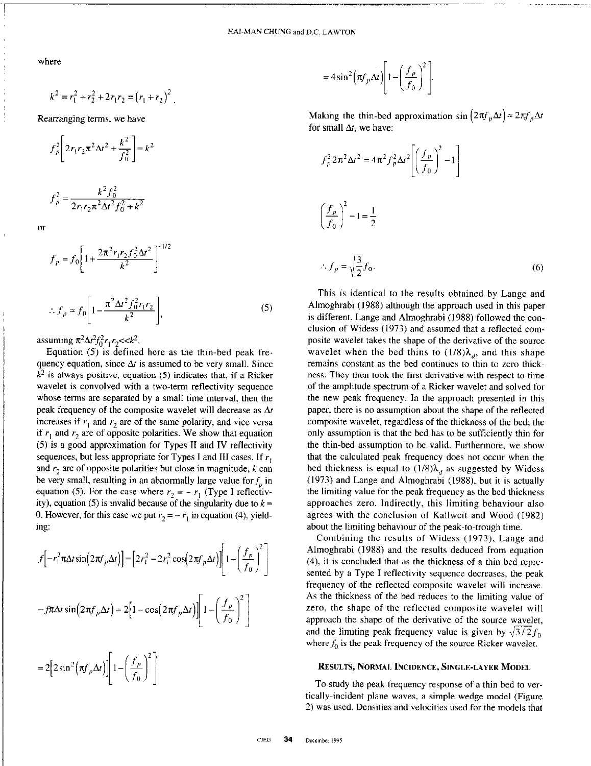where

$$
k^{2} = r_{1}^{2} + r_{2}^{2} + 2r_{1}r_{2} = (r_{1} + r_{2})^{2}
$$

Rearranging terms, we have

$$
f_p^2 \left[ 2r_1r_2\pi^2\Delta t^2 + \frac{k^2}{f_0^2} \right] = k^2
$$

$$
f_p^2 = \frac{k^2 f_0^2}{2r_1 r_2 \pi^2 \Delta t^2 f_0^2 + k^2}
$$

 $\overline{or}$ 

$$
f_p = f_0 \left[ 1 + \frac{2\pi^2 r_1 r_2 f_0^2 \Delta t^2}{k^2} \right]^{-1/2}
$$
  

$$
\therefore f_p \approx f_0 \left[ 1 - \frac{\pi^2 \Delta t^2 f_0^2 r_1 r_2}{k^2} \right],
$$
 (5)

assuming  $\pi^2 \Delta t^2 f_0^2 r_1 r_2 < k^2$ .

Equation (5) is defined here as the thin-bed peak frequency equation, since  $\Delta t$  is assumed to be very small. Since  $k<sup>2</sup>$  is always positive, equation (5) indicates that, if a Ricker wavelet is convolved with a two-term reflectivity sequence whose terms are separated by a small time interval, then the peak frequency of the composite wavelet will decrease as  $\Delta t$ increases if  $r_1$  and  $r_2$  are of the same polarity, and vice versa if  $r_1$  and  $r_2$  are of opposite polarities. We show that equation (5) is a good approximation for Types II and IV reflectivity sequences, but less appropriate for Types I and III cases. If  $r$ , and  $r_2$  are of opposite polarities but close in magnitude,  $k$  can be very small, resulting in an abnormally large value for  $f<sub>p</sub>$  in equation (5). For the case where  $r_2 = -r_1$  (Type I reflectivity), equation (5) is invalid because of the singularity due to  $k =$ 0. However, for this case we put  $r_2 = -r_1$  in equation (4), yielding:

$$
f\left[-r_1^2 \pi \Delta t \sin\left(2\pi f_p \Delta t\right)\right] = \left[2r_1^2 - 2r_1^2 \cos\left(2\pi f_p \Delta t\right)\right] \left[1 - \left(\frac{f_p}{f_0}\right)^2\right]
$$

$$
-f\pi \Delta t \sin\left(2\pi f_p \Delta t\right) = 2\left[1 - \cos\left(2\pi f_p \Delta t\right)\right] \left[1 - \left(\frac{f_p}{f_0}\right)^2\right]
$$

$$
=2\Big[2\sin^2\Big(\pi f_p\Delta t\Big)\Big]\Bigg[1-\Bigg(\frac{f_p}{f_0}\Bigg)^2\Bigg]
$$

$$
=4\sin^2\left(\pi f_p\Delta t\right)\left[1-\left(\frac{f_p}{f_0}\right)^2\right].
$$

Making the thin-bed approximation sin  $(2\pi f_n\Delta t) \approx 2\pi f_n\Delta t$ for small  $\Delta t$ , we have:

$$
f_p^2 2\pi^2 \Delta t^2 = 4\pi^2 f_p^2 \Delta t^2 \left[ \left( \frac{f_p}{f_0} \right)^2 - 1 \right]
$$
  

$$
\left( \frac{f_p}{f_0} \right)^2 - 1 = \frac{1}{2}
$$
  

$$
\therefore f_p = \sqrt{\frac{3}{2}} f_0.
$$
 (6)

This is identical to the results obtained by Lange and Almoghrabi (1988) although the approach used in this paper is different. Lange and Almoghrabi (1988) followed the conclusion of Widess (1973) and assumed that a reflected composite wavelet takes the shape of the derivative of the source wavelet when the bed thins to  $(1/8)\lambda_d$ , and this shape remains constant as the bed continues to thin to zero thickness. They then took the first derivative with respect to time of the amplitude spectrum of a Ricker wavelet and solved for the new peak frequency. In the approach presented in this paper, there is no assumption about the shape of the reflected composite wavelet, regardless of the thickness of the bed; the only assumption is that the bed has to be sufficiently thin for the thin-bed assumption to be valid. Furthermore, we show that the calculated peak frequency does not occur when the bed thickness is equal to  $(1/8)\lambda_d$  as suggested by Widess (1973) and Lange and Almoghrabi (1988). but it is actually the limiting value for the peak frequency as the bed thickness approaches zero. Indirectly, this limiting behaviour also agrees with the conclusion of Kallweit and Wood (1982) about the limiting behaviour of the peak-to-trough time.

Combining the results of Widess (1973). Lange and Almoghrabi (1988) and the results deduced from equation (4), it is concluded that as the thickness of a thin bed represented by a Type I reflectivity sequence decreases, the peak frequency of the reflected composite wavelet will increase. As the thickness of the bed reduces to the limiting value of zero, the shape of the reflected composite wavelet will approach the shape of the derivative of the source wavelet, and the limiting peak frequency value is given by  $\sqrt{3}/2f_0$ , where  $f_0$  is the peak frequency of the source Ricker wavelet.

#### RESULTS, NoRMAt. INCIDENCE, SINGLE-LAYER MODEL

To study the peak frequency response of a thin bed to vertically-incident plane waves, a simple wedge model (Figure 2) was used. Densities and velocities used for the models that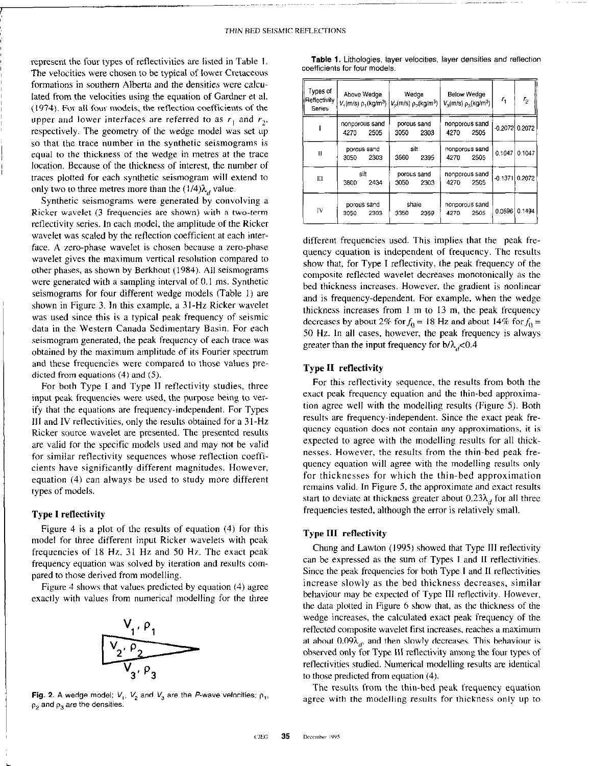represent the four types of reflectivities are listed in Table I. The velocities were chosen to be typical of lower Cretaceous formations in southern Alberta and the densities were calculated from the velocities using the equation of Gardner et al. ((974). For all four models, the reflection coefficients of the upper and lower interfaces are referred to as  $r_1$  and  $r_2$ , respectively. The geometry of the wedge model was set up so that the trace number in the synthetic seismograms is equal to the thickness of the wedge in metres at the trace location. Because of the thickness of interest, the number of traces plotted for each synthetic seismogram will extend to only two to three metres more than the  $(1/4)\lambda_d$  value.

Synthetic seismograms were generated by convolving a Kicker wavelet (3 frequencies are shown) with a two-term reflectivity series. In each model, the amplitude of the Ricker wavelet was scaled by the reflection coefficient at each interface. A zero-phase wavelet is chosen because a zero-phase wavelet gives the maximum vertical resolution compared to other phases, as shown by Berkhout (1984). All seismograms were generated with a sampling interval of 0.1 ms. Synthetic seismograms for four different wedge models (Table I) are shown in Figure 3. In this example, a 31.Hz Kicker wavelet was used since this is a typical peak frequency of seismic data in the Western Canada Sedimentary Basin. For each seismogram generated, the peak frequency of each trace was obtained by the maximum amplitude of its Fourier spectrum and these frequencies were compared to those values predicted from equations (4) and (5).

For both Type I and Type II retlectivity studies, three input peak frequencies were used, the purpose being to verify that the equations are frequency-independent. For Types 111 and IV retlectivities, only the results obtained for a 3 I-Hz Ricker source wavelet are presented. The presented results are valid for the specific models used and may not be valid for similar reflectivity sequences whose reflection coefficients have significantly different magnitudes. However, equation (4) can always be used to study more different types of models.

## Type I reflectivity

Figure 4 is a plot of the results of equation (4) for this model for three different input Ricker wavelets with peak frequencies of I8 Hz, 31 Hz and 50 Hr. The exact peak frequency equation was solved by iteration and results compared to those derived from modelling.

Figure 4 shows that values predicted by equation (4) agree exactly with values from numerical modelling for the three



Fig. 2. A wedge model;  $V_1$ ,  $V_2$  and  $V_3$  are the P-wave velocities;  $\rho_1$ ,  $p<sub>2</sub>$  and  $p<sub>3</sub>$  are the densities.

| Types of<br>Reflectivity<br>Series | Above Wedge<br>nonporous sand<br>2505<br>4270 |                     | Wedge<br>$V_1(m/s)$ ρ <sub>1</sub> (kg/m <sup>3</sup> )   $V_2(m/s)$ ρ <sub>2</sub> (kg/m <sup>3</sup> )  <br>porous sand<br>2303<br>3050 |                     | <b>Below Wedge</b><br>$V_2$ (m/s) $\rho_3$ (kg/m <sup>3</sup> )<br>nonporous sand<br>4270<br>2505 |                        | $r_{\rm i}$<br>$-0.2072$ 0.2072 | r,     |
|------------------------------------|-----------------------------------------------|---------------------|-------------------------------------------------------------------------------------------------------------------------------------------|---------------------|---------------------------------------------------------------------------------------------------|------------------------|---------------------------------|--------|
|                                    |                                               |                     |                                                                                                                                           |                     |                                                                                                   |                        |                                 |        |
| IJ                                 | 3050                                          | porous sand<br>2303 | 3560                                                                                                                                      | silt<br>2395        | 4270                                                                                              | nonporous sand<br>2505 | 0.1047                          | 0.1047 |
| Ш                                  | 3800                                          | silt<br>2434        | 3050                                                                                                                                      | porous sand<br>2303 | 4270                                                                                              | nonporous sand<br>2505 | $-0.1371$ 0.2072                |        |
| IV                                 | porous sand<br>2303<br>3050                   |                     | shale<br>3350<br>2359                                                                                                                     |                     | nonporous sand<br>2505<br>4270                                                                    |                        | 0.0596                          | 0.1494 |

Table 1, Lithologies. layer velocities, layer densities and reflection coefficients for four models.

different frequencies used. This implies that the peak frequency equation is independent of frequency. The results show that, for Type I reflectivity, the peak frequency of the composite reflected wavelet decreases monotonically as the bed thickness increases. However, the gradient is nonlinear and is frequency-dependent. For example. when the wedge thickness increases from  $1 \text{ m}$  to  $13 \text{ m}$ , the peak frequency decreases by about 2% for  $f_0 = 18$  Hz and about 14% for  $f_0 =$ 50 Hz. In all cases, however, the peak frequency is always greater than the input frequency for  $b/\lambda$ <sub>d</sub><0.4

# Type II reflectivity

For this reflectivity sequence, the results from both the exact peak frequency equation and the thin-bed approximation agree well with the modelling results (Figure 5). Both results are frequency-independent. Since the exact peak frequency equation does not contain any approximations, it is expected to agree with the modelling results for all thicknesses. However, the results from the thin-bed peak frequency equation will agree with the modelling results only for thicknesses for which the thin-bed approximation remains valid. In Figure 5, the approximate and exact results start to deviate at thickness greater about  $0.23\lambda_d$  for all three frequencies tested, although the error is relatively small.

# Type III reflectivity

Chung and Lawton (1995) showed that Type III reflectivity can be expressed as the sum of Types I and II reflectivities. Since the peak frequencies for both Type I and II reflectivities increase slowly as the bed thickness decreases, similar behaviour may be expected of Type 111 retlectivity. However, the data plotted in Figure 6 show that, as the thickness of the wedge increases, the calculated exact peak frequency of the retlected composite wavelet first increases, reaches a maximum at about  $0.09\lambda_{ab}$  and then slowly decreases. This behaviour is observed only for Type III reflectivity among the four types of reflectivities studied. Numerical modelling results are identical to those predicted from equation (4).

The results from the thin-bed peak frequency equation agree with the modelling results for thickness only up to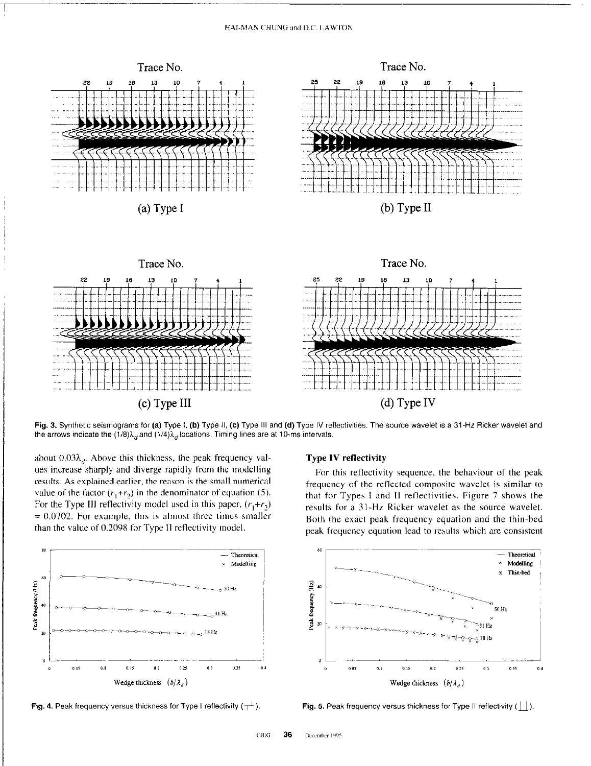## HAI-MAN CHUNG and D.C. LAWTON



Fig. 3. Synthetic seismograms for (a) Type I, (b) Type II, (c) Type III and (d) Type IV reflectivities. The source wavelet is a 31-Hz Ricker wavelet and the arrows indicate the  $(1/8)\lambda_d$  and  $(1/4)\lambda_d$  locations. Timing lines are at 10-ms intervals.

about  $0.03\lambda_{dr}$ . Above this thickness, the peak frequency values increase sharply and diverge rapidly from the modelling results. As explained earlier, the reason is the small numerical value of the factor  $(r_1+r_2)$  in the denominator of equation (5). For the Type III reflectivity model used in this paper,  $(r_1+r_2)$  $= 0.0702$ . For example, this is almost three times smaller than the value of 0.2098 for Type II reflectivity model.





# **Type IV reflectivity**

For this reflectivity sequence, the behaviour of the peak frequency of the reflected composite wavelet is similar to that for Types I and II reflectivities. Figure 7 shows the results for a 31-Hz Ricker wavelet as the source wavelet. Both the exact peak frequency equation and the thin-bed peak frequency equation lead to results which are consistent



Fig. 5. Peak frequency versus thickness for Type II reflectivity  $( \vert \vert \vert ).$